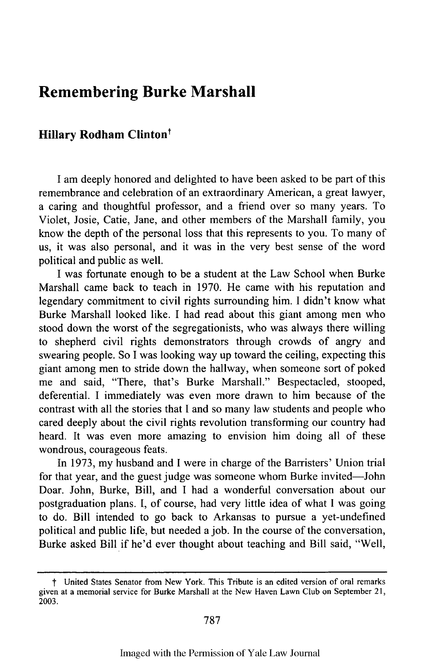## **Remembering Burke Marshall**

## **Hillary Rodham Clinton<sup>†</sup>**

**I** am deeply honored and delighted to have been asked to be part of this remembrance and celebration of an extraordinary American, a great lawyer, a caring and thoughtful professor, and a friend over so many years. To Violet, Josie, Catie, Jane, and other members of the Marshall family, you know the depth of the personal loss that this represents to you. To many of us, it was also personal, and it was in the very best sense of the word political and public as well.

I was fortunate enough to be a student at the Law School when Burke Marshall came back to teach in 1970. He came with his reputation and legendary commitment to civil rights surrounding him. I didn't know what Burke Marshall looked like. I had read about this giant among men who stood down the worst of the segregationists, who was always there willing to shepherd civil rights demonstrators through crowds of angry and swearing people. So I was looking way up toward the ceiling, expecting this giant among men to stride down the hallway, when someone sort of poked me and said, "There, that's Burke Marshall." Bespectacled, stooped, deferential. I immediately was even more drawn to him because of the contrast with all the stories that I and so many law students and people who cared deeply about the civil rights revolution transforming our country had heard. It was even more amazing to envision him doing all of these wondrous, courageous feats.

In 1973, my husband and I were in charge of the Barristers' Union trial for that year, and the guest judge was someone whom Burke invited-John Doar. John, Burke, Bill, and I had a wonderful conversation about our postgraduation plans. I, of course, had very little idea of what I was going to do. Bill intended to go back to Arkansas to pursue a yet-undefined political and public life, but needed a job. In the course of the conversation, Burke asked Bill if he'd ever thought about teaching and Bill said, "Well,

**f** United States Senator from New York. This Tribute is an edited version of oral remarks given at a memorial service for Burke Marshall at the New Haven Lawn Club on September 21, 2003.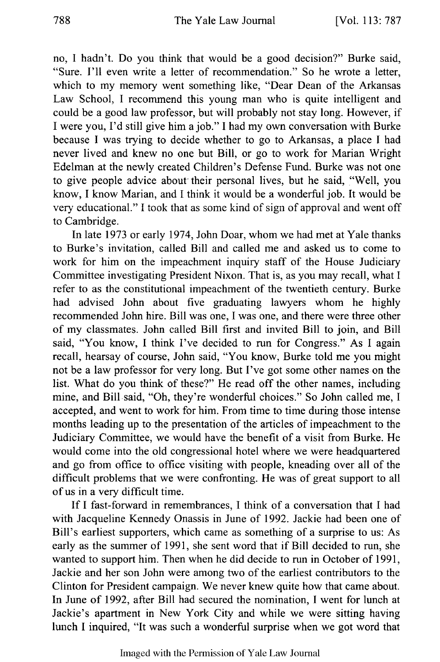no, I hadn't. Do you think that would be a good decision?" Burke said, "Sure. I'll even write a letter of recommendation." So he wrote a letter, which to my memory went something like, "Dear Dean of the Arkansas Law School, I recommend this young man who is quite intelligent and could be a good law professor, but will probably not stay long. However, if I were you, I'd still give him a job." I had my own conversation with Burke because I was trying to decide whether to go to Arkansas, a place I had never lived and knew no one but Bill, or go to work for Marian Wright Edelman at the newly created Children's Defense Fund. Burke was not one to give people advice about their personal lives, but he said, "Well, you know, I know Marian, and I think it would be a wonderful job. It would be very educational." I took that as some kind of sign of approval and went off to Cambridge.

In late 1973 or early 1974, John Doar, whom we had met at Yale thanks to Burke's invitation, called Bill and called me and asked us to come to work for him on the impeachment inquiry staff of the House Judiciary Committee investigating President Nixon. That is, as you may recall, what I refer to as the constitutional impeachment of the twentieth century. Burke had advised John about five graduating lawyers whom he highly recommended John hire. Bill was one, I was one, and there were three other of my classmates. John called Bill first and invited Bill to join, and Bill said, "You know, I think I've decided to run for Congress." As I again recall, hearsay of course, John said, "You know, Burke told me you might not be a law professor for very long. But I've got some other names on the list. What do you think of these?" He read off the other names, including mine, and Bill said, "Oh, they're wonderful choices." So John called me, I accepted, and went to work for him. From time to time during those intense months leading up to the presentation of the articles of impeachment to the Judiciary Committee, we would have the benefit of a visit from Burke. He would come into the old congressional hotel where we were headquartered and go from office to office visiting with people, kneading over all of the difficult problems that we were confronting. He was of great support to all of us in a very difficult time.

If I fast-forward in remembrances, I think of a conversation that I had with Jacqueline Kennedy Onassis in June of 1992. Jackie had been one of Bill's earliest supporters, which came as something of a surprise to us: As early as the summer of 1991, she sent word that if Bill decided to run, she wanted to support him. Then when he did decide to run in October of 1991, Jackie and her son John were among two of the earliest contributors to the Clinton for President campaign. We never knew quite how that came about. In June of 1992, after Bill had secured the nomination, I went for lunch at Jackie's apartment in New York City and while we were sitting having lunch I inquired, "It was such a wonderful surprise when we got word that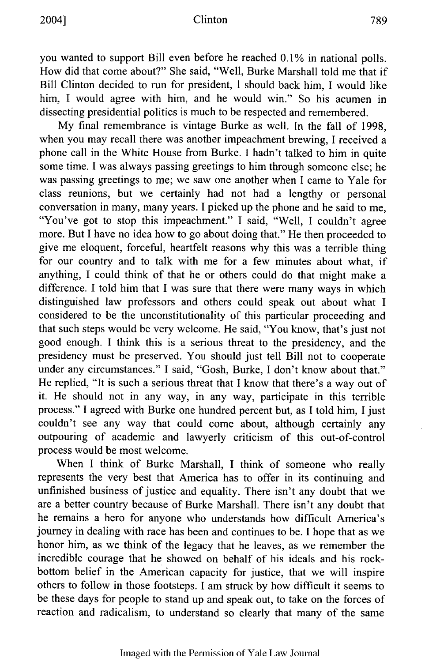you wanted to support Bill even before he reached 0.1% in national polls. How did that come about?" She said, "Well, Burke Marshall told me that if Bill Clinton decided to run for president, I should back him, I would like him, I would agree with him, and he would win." So his acumen in dissecting presidential politics is much to be respected and remembered.

My final remembrance is vintage Burke as well. In the fall of 1998, when you may recall there was another impeachment brewing, I received a phone call in the White House from Burke. **I** hadn't talked to him in quite some time. I was always passing greetings to him through someone else; he was passing greetings to me; we saw one another when I came to Yale for class reunions, but we certainly had not had a lengthy or personal conversation in many, many years. I picked up the phone and he said to me, "You've got to stop this impeachment." I said, "Well, I couldn't agree more. But I have no idea how to go about doing that." He then proceeded to give me eloquent, forceful, heartfelt reasons why this was a terrible thing for our country and to talk with me for a few minutes about what, if anything, I could think of that he or others could do that might make a difference. I told him that I was sure that there were many ways in which distinguished law professors and others could speak out about what I considered to be the unconstitutionality of this particular proceeding and that such steps would be very welcome. He said, "You know, that's just not good enough. I think this is a serious threat to the presidency, and the presidency must be preserved. You should just tell Bill not to cooperate under any circumstances." I said, "Gosh, Burke, I don't know about that." He replied, "It is such a serious threat that I know that there's a way out of it. He should not in any way, in any way, participate in this terrible process." I agreed with Burke one hundred percent but, as I told him, I just couldn't see any way that could come about, although certainly any outpouring of academic and lawyerly criticism of this out-of-control process would be most welcome.

When I think of Burke Marshall, I think of someone who really represents the very best that America has to offer in its continuing and unfinished business of justice and equality. There isn't any doubt that we are a better country because of Burke Marshall. There isn't any doubt that he remains a hero for anyone who understands how difficult America's journey in dealing with race has been and continues to be. I hope that as we honor him, as we think of the legacy that he leaves, as we remember the incredible courage that he showed on behalf of his ideals and his rockbottom belief in the American capacity for justice, that we will inspire others to follow in those footsteps. I am struck by how difficult it seems to be these days for people to stand up and speak out, to take on the forces of reaction and radicalism, to understand so clearly that many of the same